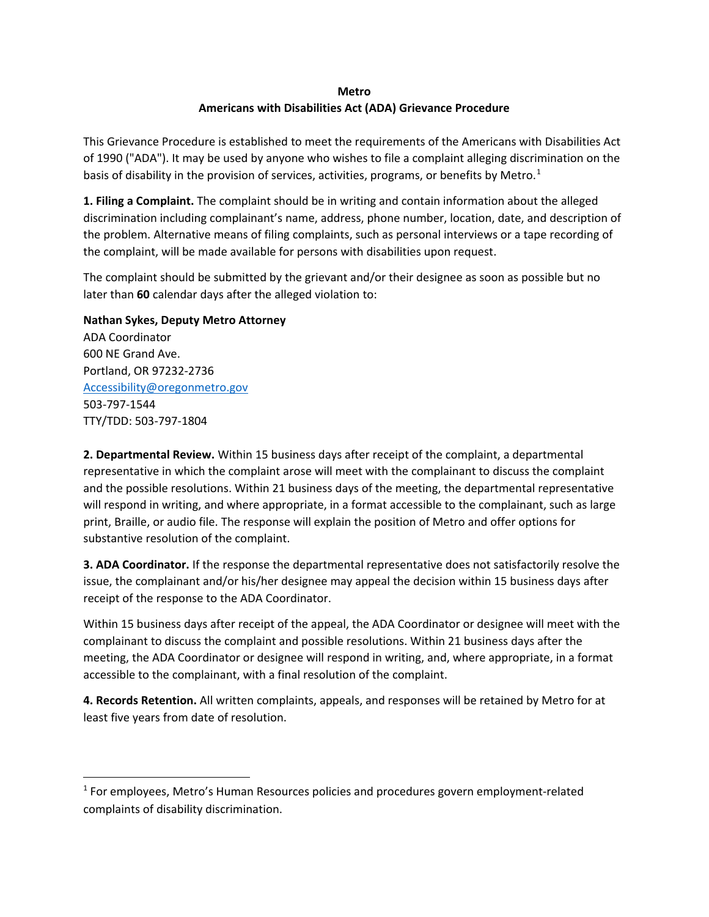## **Metro**

## **Americans with Disabilities Act (ADA) Grievance Procedure**

This Grievance Procedure is established to meet the requirements of the Americans with Disabilities Act of 1990 ("ADA"). It may be used by anyone who wishes to file a complaint alleging discrimination on the basis of disability in the provision of services, activities, programs, or benefits by Metro.<sup>[1](#page-0-0)</sup>

**1. Filing a Complaint.** The complaint should be in writing and contain information about the alleged discrimination including complainant's name, address, phone number, location, date, and description of the problem. Alternative means of filing complaints, such as personal interviews or a tape recording of the complaint, will be made available for persons with disabilities upon request.

The complaint should be submitted by the grievant and/or their designee as soon as possible but no later than **60** calendar days after the alleged violation to:

**Nathan Sykes, Deputy Metro Attorney**

ADA Coordinator 600 NE Grand Ave. Portland, OR 97232-2736 [Accessibility@oregonmetro.gov](mailto:Accessibility@oregonmetro.gov) 503-797-1544 TTY/TDD: 503-797-1804

**2. Departmental Review.** Within 15 business days after receipt of the complaint, a departmental representative in which the complaint arose will meet with the complainant to discuss the complaint and the possible resolutions. Within 21 business days of the meeting, the departmental representative will respond in writing, and where appropriate, in a format accessible to the complainant, such as large print, Braille, or audio file. The response will explain the position of Metro and offer options for substantive resolution of the complaint.

**3. ADA Coordinator.** If the response the departmental representative does not satisfactorily resolve the issue, the complainant and/or his/her designee may appeal the decision within 15 business days after receipt of the response to the ADA Coordinator.

Within 15 business days after receipt of the appeal, the ADA Coordinator or designee will meet with the complainant to discuss the complaint and possible resolutions. Within 21 business days after the meeting, the ADA Coordinator or designee will respond in writing, and, where appropriate, in a format accessible to the complainant, with a final resolution of the complaint.

**4. Records Retention.** All written complaints, appeals, and responses will be retained by Metro for at least five years from date of resolution.

<span id="page-0-0"></span> <sup>1</sup> For employees, Metro's Human Resources policies and procedures govern employment-related complaints of disability discrimination.